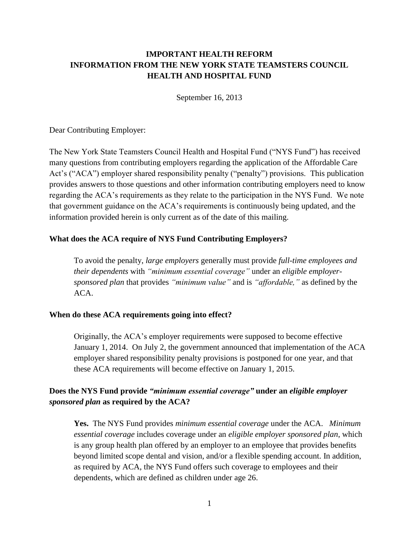# **IMPORTANT HEALTH REFORM INFORMATION FROM THE NEW YORK STATE TEAMSTERS COUNCIL HEALTH AND HOSPITAL FUND**

September 16, 2013

Dear Contributing Employer:

The New York State Teamsters Council Health and Hospital Fund ("NYS Fund") has received many questions from contributing employers regarding the application of the Affordable Care Act's ("ACA") employer shared responsibility penalty ("penalty") provisions. This publication provides answers to those questions and other information contributing employers need to know regarding the ACA's requirements as they relate to the participation in the NYS Fund. We note that government guidance on the ACA's requirements is continuously being updated, and the information provided herein is only current as of the date of this mailing.

### **What does the ACA require of NYS Fund Contributing Employers?**

To avoid the penalty, *large employers* generally must provide *full-time employees and their dependents* with *"minimum essential coverage"* under an *eligible employersponsored plan* that provides *"minimum value"* and is *"affordable,"* as defined by the ACA.

### **When do these ACA requirements going into effect?**

Originally, the ACA's employer requirements were supposed to become effective January 1, 2014. On July 2, the government announced that implementation of the ACA employer shared responsibility penalty provisions is postponed for one year, and that these ACA requirements will become effective on January 1, 2015.

### **Does the NYS Fund provide** *"minimum essential coverage"* **under an** *eligible employer sponsored plan* **as required by the ACA?**

**Yes.** The NYS Fund provides *minimum essential coverage* under the ACA. *Minimum essential coverage* includes coverage under an *eligible employer sponsored plan*, which is any group health plan offered by an employer to an employee that provides benefits beyond limited scope dental and vision, and/or a flexible spending account. In addition, as required by ACA, the NYS Fund offers such coverage to employees and their dependents, which are defined as children under age 26.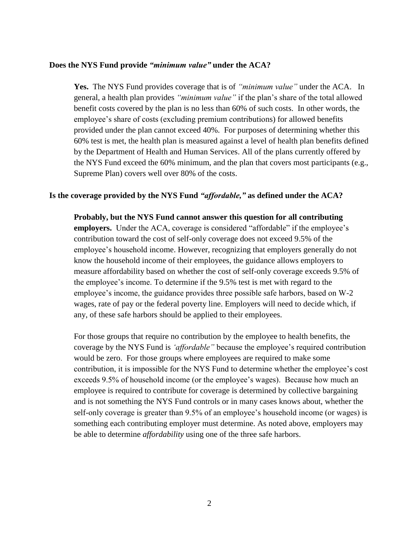#### **Does the NYS Fund provide** *"minimum value"* **under the ACA?**

**Yes.** The NYS Fund provides coverage that is of *"minimum value"* under the ACA. In general, a health plan provides *"minimum value"* if the plan's share of the total allowed benefit costs covered by the plan is no less than 60% of such costs. In other words, the employee's share of costs (excluding premium contributions) for allowed benefits provided under the plan cannot exceed 40%. For purposes of determining whether this 60% test is met, the health plan is measured against a level of health plan benefits defined by the Department of Health and Human Services. All of the plans currently offered by the NYS Fund exceed the 60% minimum, and the plan that covers most participants (e.g., Supreme Plan) covers well over 80% of the costs.

### **Is the coverage provided by the NYS Fund** *"affordable,"* **as defined under the ACA?**

**Probably, but the NYS Fund cannot answer this question for all contributing employers.** Under the ACA, coverage is considered "affordable" if the employee's contribution toward the cost of self-only coverage does not exceed 9.5% of the employee's household income. However, recognizing that employers generally do not know the household income of their employees, the guidance allows employers to measure affordability based on whether the cost of self-only coverage exceeds 9.5% of the employee's income. To determine if the 9.5% test is met with regard to the employee's income, the guidance provides three possible safe harbors, based on W-2 wages, rate of pay or the federal poverty line. Employers will need to decide which, if any, of these safe harbors should be applied to their employees.

For those groups that require no contribution by the employee to health benefits, the coverage by the NYS Fund is *'affordable"* because the employee's required contribution would be zero. For those groups where employees are required to make some contribution, it is impossible for the NYS Fund to determine whether the employee's cost exceeds 9.5% of household income (or the employee's wages). Because how much an employee is required to contribute for coverage is determined by collective bargaining and is not something the NYS Fund controls or in many cases knows about, whether the self-only coverage is greater than 9.5% of an employee's household income (or wages) is something each contributing employer must determine. As noted above, employers may be able to determine *affordability* using one of the three safe harbors.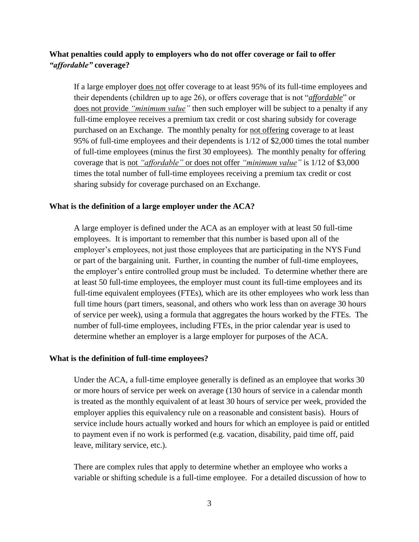## **What penalties could apply to employers who do not offer coverage or fail to offer**  *"affordable"* **coverage?**

If a large employer does not offer coverage to at least 95% of its full-time employees and their dependents (children up to age 26), or offers coverage that is not "*affordable*" or does not provide *"minimum value"* then such employer will be subject to a penalty if any full-time employee receives a premium tax credit or cost sharing subsidy for coverage purchased on an Exchange. The monthly penalty for not offering coverage to at least 95% of full-time employees and their dependents is 1/12 of \$2,000 times the total number of full-time employees (minus the first 30 employees). The monthly penalty for offering coverage that is not *"affordable"* or does not offer *"minimum value"* is 1/12 of \$3,000 times the total number of full-time employees receiving a premium tax credit or cost sharing subsidy for coverage purchased on an Exchange.

### **What is the definition of a large employer under the ACA?**

A large employer is defined under the ACA as an employer with at least 50 full-time employees. It is important to remember that this number is based upon all of the employer's employees, not just those employees that are participating in the NYS Fund or part of the bargaining unit. Further, in counting the number of full-time employees, the employer's entire controlled group must be included. To determine whether there are at least 50 full-time employees, the employer must count its full-time employees and its full-time equivalent employees (FTEs), which are its other employees who work less than full time hours (part timers, seasonal, and others who work less than on average 30 hours of service per week), using a formula that aggregates the hours worked by the FTEs. The number of full-time employees, including FTEs, in the prior calendar year is used to determine whether an employer is a large employer for purposes of the ACA.

### **What is the definition of full-time employees?**

Under the ACA, a full-time employee generally is defined as an employee that works 30 or more hours of service per week on average (130 hours of service in a calendar month is treated as the monthly equivalent of at least 30 hours of service per week, provided the employer applies this equivalency rule on a reasonable and consistent basis). Hours of service include hours actually worked and hours for which an employee is paid or entitled to payment even if no work is performed (e.g. vacation, disability, paid time off, paid leave, military service, etc.).

There are complex rules that apply to determine whether an employee who works a variable or shifting schedule is a full-time employee. For a detailed discussion of how to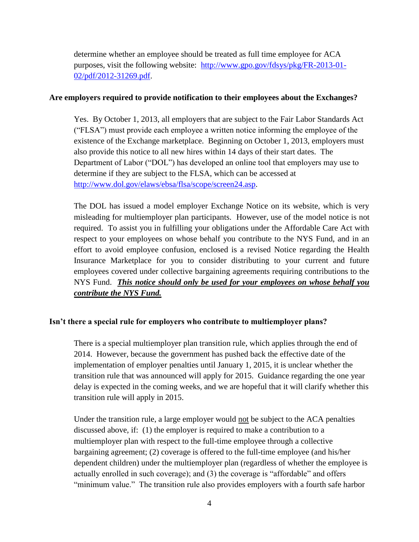determine whether an employee should be treated as full time employee for ACA purposes, visit the following website: [http://www.gpo.gov/fdsys/pkg/FR-2013-01-](http://www.gpo.gov/fdsys/pkg/FR-2013-01-02/pdf/2012-31269.pdf) [02/pdf/2012-31269.pdf.](http://www.gpo.gov/fdsys/pkg/FR-2013-01-02/pdf/2012-31269.pdf)

### **Are employers required to provide notification to their employees about the Exchanges?**

Yes. By October 1, 2013, all employers that are subject to the Fair Labor Standards Act ("FLSA") must provide each employee a written notice informing the employee of the existence of the Exchange marketplace. Beginning on October 1, 2013, employers must also provide this notice to all new hires within 14 days of their start dates. The Department of Labor ("DOL") has developed an online tool that employers may use to determine if they are subject to the FLSA, which can be accessed at [http://www.dol.gov/elaws/ebsa/flsa/scope/screen24.asp.](http://www.dol.gov/elaws/ebsa/flsa/scope/screen24.asp)

The DOL has issued a model employer Exchange Notice on its website, which is very misleading for multiemployer plan participants. However, use of the model notice is not required. To assist you in fulfilling your obligations under the Affordable Care Act with respect to your employees on whose behalf you contribute to the NYS Fund, and in an effort to avoid employee confusion, enclosed is a revised Notice regarding the Health Insurance Marketplace for you to consider distributing to your current and future employees covered under collective bargaining agreements requiring contributions to the NYS Fund. *This notice should only be used for your employees on whose behalf you contribute the NYS Fund.*

### **Isn't there a special rule for employers who contribute to multiemployer plans?**

There is a special multiemployer plan transition rule, which applies through the end of 2014. However, because the government has pushed back the effective date of the implementation of employer penalties until January 1, 2015, it is unclear whether the transition rule that was announced will apply for 2015. Guidance regarding the one year delay is expected in the coming weeks, and we are hopeful that it will clarify whether this transition rule will apply in 2015.

Under the transition rule, a large employer would not be subject to the ACA penalties discussed above, if: (1) the employer is required to make a contribution to a multiemployer plan with respect to the full-time employee through a collective bargaining agreement; (2) coverage is offered to the full-time employee (and his/her dependent children) under the multiemployer plan (regardless of whether the employee is actually enrolled in such coverage); and (3) the coverage is "affordable" and offers "minimum value." The transition rule also provides employers with a fourth safe harbor